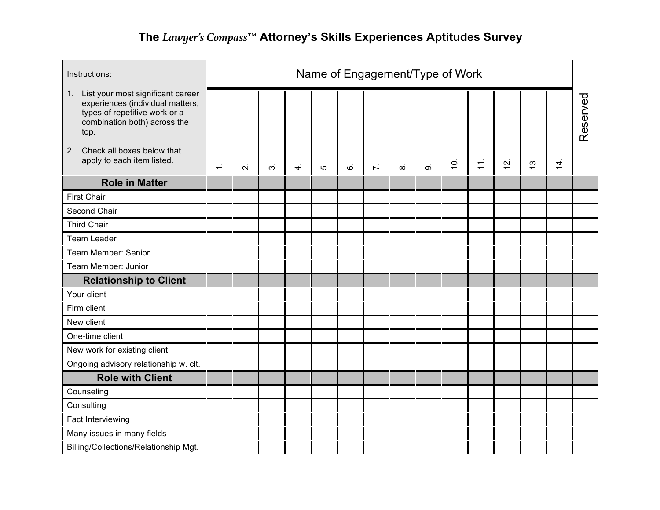| Instructions:                                                                                                                                     |                          | Name of Engagement/Type of Work |   |           |    |    |              |          |          |           |                   |               |             |                |          |
|---------------------------------------------------------------------------------------------------------------------------------------------------|--------------------------|---------------------------------|---|-----------|----|----|--------------|----------|----------|-----------|-------------------|---------------|-------------|----------------|----------|
| 1. List your most significant career<br>experiences (individual matters,<br>types of repetitive work or a<br>combination both) across the<br>top. |                          |                                 |   |           |    |    |              |          |          |           |                   |               |             |                | Reserved |
| Check all boxes below that<br>2.<br>apply to each item listed.                                                                                    | $\overline{\phantom{0}}$ | $\overline{N}$                  | က | $\vec{r}$ | πó | ؘؽ | $\mathbf{r}$ | $\infty$ | $\infty$ | $\dot{5}$ | $\overline{\tau}$ | $\frac{1}{2}$ | $\tilde{c}$ | $\overline{4}$ |          |
| <b>Role in Matter</b>                                                                                                                             |                          |                                 |   |           |    |    |              |          |          |           |                   |               |             |                |          |
| <b>First Chair</b>                                                                                                                                |                          |                                 |   |           |    |    |              |          |          |           |                   |               |             |                |          |
| Second Chair                                                                                                                                      |                          |                                 |   |           |    |    |              |          |          |           |                   |               |             |                |          |
| <b>Third Chair</b>                                                                                                                                |                          |                                 |   |           |    |    |              |          |          |           |                   |               |             |                |          |
| <b>Team Leader</b>                                                                                                                                |                          |                                 |   |           |    |    |              |          |          |           |                   |               |             |                |          |
| Team Member: Senior                                                                                                                               |                          |                                 |   |           |    |    |              |          |          |           |                   |               |             |                |          |
| Team Member: Junior                                                                                                                               |                          |                                 |   |           |    |    |              |          |          |           |                   |               |             |                |          |
| <b>Relationship to Client</b>                                                                                                                     |                          |                                 |   |           |    |    |              |          |          |           |                   |               |             |                |          |
| Your client                                                                                                                                       |                          |                                 |   |           |    |    |              |          |          |           |                   |               |             |                |          |
| Firm client                                                                                                                                       |                          |                                 |   |           |    |    |              |          |          |           |                   |               |             |                |          |
| New client                                                                                                                                        |                          |                                 |   |           |    |    |              |          |          |           |                   |               |             |                |          |
| One-time client                                                                                                                                   |                          |                                 |   |           |    |    |              |          |          |           |                   |               |             |                |          |
| New work for existing client                                                                                                                      |                          |                                 |   |           |    |    |              |          |          |           |                   |               |             |                |          |
| Ongoing advisory relationship w. clt.                                                                                                             |                          |                                 |   |           |    |    |              |          |          |           |                   |               |             |                |          |
| <b>Role with Client</b>                                                                                                                           |                          |                                 |   |           |    |    |              |          |          |           |                   |               |             |                |          |
| Counseling                                                                                                                                        |                          |                                 |   |           |    |    |              |          |          |           |                   |               |             |                |          |
| Consulting                                                                                                                                        |                          |                                 |   |           |    |    |              |          |          |           |                   |               |             |                |          |
| Fact Interviewing                                                                                                                                 |                          |                                 |   |           |    |    |              |          |          |           |                   |               |             |                |          |
| Many issues in many fields                                                                                                                        |                          |                                 |   |           |    |    |              |          |          |           |                   |               |             |                |          |
| Billing/Collections/Relationship Mgt.                                                                                                             |                          |                                 |   |           |    |    |              |          |          |           |                   |               |             |                |          |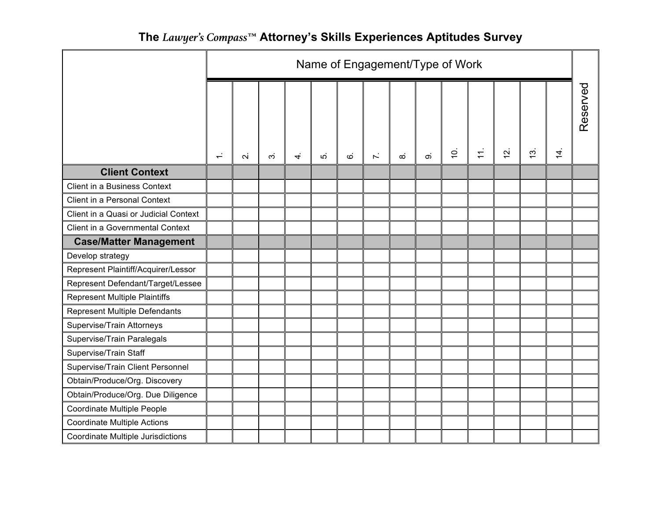|                                       | Name of Engagement/Type of Work |                |   |    |   |               |              |          |                          |           |       |               |               |                |          |
|---------------------------------------|---------------------------------|----------------|---|----|---|---------------|--------------|----------|--------------------------|-----------|-------|---------------|---------------|----------------|----------|
|                                       | $\div$                          | $\overline{N}$ | က | 4. | ယ | $\dot{\circ}$ | $\mathbf{r}$ | $\infty$ | $\overline{\mathcal{O}}$ | $\dot{5}$ | $\pm$ | $\frac{5}{2}$ | $\frac{3}{2}$ | $\overline{4}$ | Reserved |
| <b>Client Context</b>                 |                                 |                |   |    |   |               |              |          |                          |           |       |               |               |                |          |
| Client in a Business Context          |                                 |                |   |    |   |               |              |          |                          |           |       |               |               |                |          |
| Client in a Personal Context          |                                 |                |   |    |   |               |              |          |                          |           |       |               |               |                |          |
| Client in a Quasi or Judicial Context |                                 |                |   |    |   |               |              |          |                          |           |       |               |               |                |          |
| Client in a Governmental Context      |                                 |                |   |    |   |               |              |          |                          |           |       |               |               |                |          |
| <b>Case/Matter Management</b>         |                                 |                |   |    |   |               |              |          |                          |           |       |               |               |                |          |
| Develop strategy                      |                                 |                |   |    |   |               |              |          |                          |           |       |               |               |                |          |
| Represent Plaintiff/Acquirer/Lessor   |                                 |                |   |    |   |               |              |          |                          |           |       |               |               |                |          |
| Represent Defendant/Target/Lessee     |                                 |                |   |    |   |               |              |          |                          |           |       |               |               |                |          |
| <b>Represent Multiple Plaintiffs</b>  |                                 |                |   |    |   |               |              |          |                          |           |       |               |               |                |          |
| <b>Represent Multiple Defendants</b>  |                                 |                |   |    |   |               |              |          |                          |           |       |               |               |                |          |
| Supervise/Train Attorneys             |                                 |                |   |    |   |               |              |          |                          |           |       |               |               |                |          |
| Supervise/Train Paralegals            |                                 |                |   |    |   |               |              |          |                          |           |       |               |               |                |          |
| Supervise/Train Staff                 |                                 |                |   |    |   |               |              |          |                          |           |       |               |               |                |          |
| Supervise/Train Client Personnel      |                                 |                |   |    |   |               |              |          |                          |           |       |               |               |                |          |
| Obtain/Produce/Org. Discovery         |                                 |                |   |    |   |               |              |          |                          |           |       |               |               |                |          |
| Obtain/Produce/Org. Due Diligence     |                                 |                |   |    |   |               |              |          |                          |           |       |               |               |                |          |
| Coordinate Multiple People            |                                 |                |   |    |   |               |              |          |                          |           |       |               |               |                |          |
| <b>Coordinate Multiple Actions</b>    |                                 |                |   |    |   |               |              |          |                          |           |       |               |               |                |          |
| Coordinate Multiple Jurisdictions     |                                 |                |   |    |   |               |              |          |                          |           |       |               |               |                |          |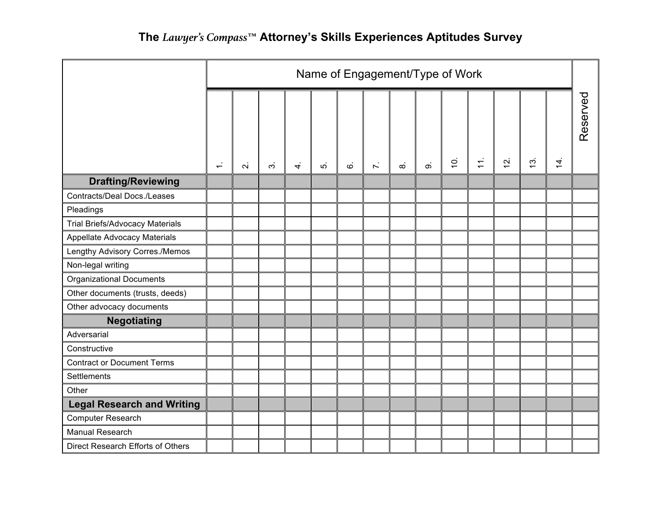|                                        | Name of Engagement/Type of Work |              |   |   |    |               |              |   |   |                |       |                |             |                |          |
|----------------------------------------|---------------------------------|--------------|---|---|----|---------------|--------------|---|---|----------------|-------|----------------|-------------|----------------|----------|
|                                        | $\div$                          | $\mathbf{N}$ | က | 4 | ທ່ | $\dot{\circ}$ | $\mathbf{r}$ | ∞ | တ | $\overline{5}$ | $\pm$ | $\overline{a}$ | $\tilde{5}$ | $\overline{4}$ | Reserved |
| <b>Drafting/Reviewing</b>              |                                 |              |   |   |    |               |              |   |   |                |       |                |             |                |          |
| <b>Contracts/Deal Docs./Leases</b>     |                                 |              |   |   |    |               |              |   |   |                |       |                |             |                |          |
| Pleadings                              |                                 |              |   |   |    |               |              |   |   |                |       |                |             |                |          |
| <b>Trial Briefs/Advocacy Materials</b> |                                 |              |   |   |    |               |              |   |   |                |       |                |             |                |          |
| <b>Appellate Advocacy Materials</b>    |                                 |              |   |   |    |               |              |   |   |                |       |                |             |                |          |
| Lengthy Advisory Corres./Memos         |                                 |              |   |   |    |               |              |   |   |                |       |                |             |                |          |
| Non-legal writing                      |                                 |              |   |   |    |               |              |   |   |                |       |                |             |                |          |
| <b>Organizational Documents</b>        |                                 |              |   |   |    |               |              |   |   |                |       |                |             |                |          |
| Other documents (trusts, deeds)        |                                 |              |   |   |    |               |              |   |   |                |       |                |             |                |          |
| Other advocacy documents               |                                 |              |   |   |    |               |              |   |   |                |       |                |             |                |          |
| <b>Negotiating</b>                     |                                 |              |   |   |    |               |              |   |   |                |       |                |             |                |          |
| Adversarial                            |                                 |              |   |   |    |               |              |   |   |                |       |                |             |                |          |
| Constructive                           |                                 |              |   |   |    |               |              |   |   |                |       |                |             |                |          |
| <b>Contract or Document Terms</b>      |                                 |              |   |   |    |               |              |   |   |                |       |                |             |                |          |
| <b>Settlements</b>                     |                                 |              |   |   |    |               |              |   |   |                |       |                |             |                |          |
| Other                                  |                                 |              |   |   |    |               |              |   |   |                |       |                |             |                |          |
| <b>Legal Research and Writing</b>      |                                 |              |   |   |    |               |              |   |   |                |       |                |             |                |          |
| <b>Computer Research</b>               |                                 |              |   |   |    |               |              |   |   |                |       |                |             |                |          |
| <b>Manual Research</b>                 |                                 |              |   |   |    |               |              |   |   |                |       |                |             |                |          |
| Direct Research Efforts of Others      |                                 |              |   |   |    |               |              |   |   |                |       |                |             |                |          |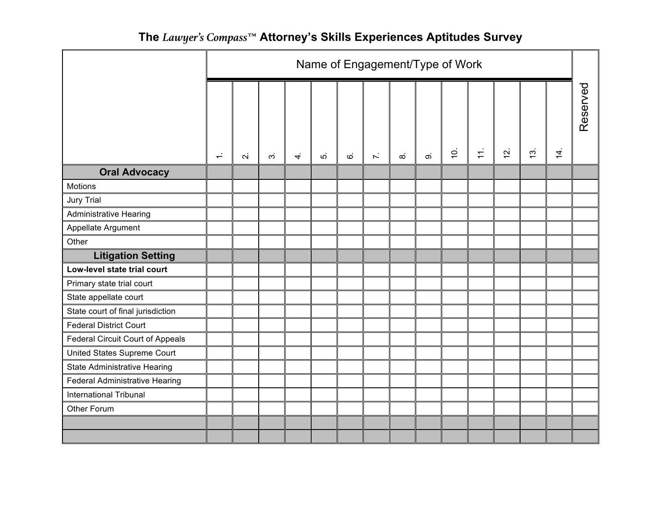|                                         | Name of Engagement/Type of Work |                         |                |           |    |               |              |          |   |                |                   |               |             |           |          |
|-----------------------------------------|---------------------------------|-------------------------|----------------|-----------|----|---------------|--------------|----------|---|----------------|-------------------|---------------|-------------|-----------|----------|
|                                         | $\div$                          | $\overline{\mathsf{N}}$ | $\dot{\infty}$ | $\vec{r}$ | ທ່ | $\dot{\circ}$ | $\mathbf{r}$ | $\infty$ | တ | $\overline{c}$ | $\overline{11}$ . | $\frac{1}{2}$ | $\tilde{c}$ | $\dot{4}$ | Reserved |
| <b>Oral Advocacy</b>                    |                                 |                         |                |           |    |               |              |          |   |                |                   |               |             |           |          |
| Motions                                 |                                 |                         |                |           |    |               |              |          |   |                |                   |               |             |           |          |
| <b>Jury Trial</b>                       |                                 |                         |                |           |    |               |              |          |   |                |                   |               |             |           |          |
| <b>Administrative Hearing</b>           |                                 |                         |                |           |    |               |              |          |   |                |                   |               |             |           |          |
| Appellate Argument                      |                                 |                         |                |           |    |               |              |          |   |                |                   |               |             |           |          |
| Other                                   |                                 |                         |                |           |    |               |              |          |   |                |                   |               |             |           |          |
| <b>Litigation Setting</b>               |                                 |                         |                |           |    |               |              |          |   |                |                   |               |             |           |          |
| Low-level state trial court             |                                 |                         |                |           |    |               |              |          |   |                |                   |               |             |           |          |
| Primary state trial court               |                                 |                         |                |           |    |               |              |          |   |                |                   |               |             |           |          |
| State appellate court                   |                                 |                         |                |           |    |               |              |          |   |                |                   |               |             |           |          |
| State court of final jurisdiction       |                                 |                         |                |           |    |               |              |          |   |                |                   |               |             |           |          |
| <b>Federal District Court</b>           |                                 |                         |                |           |    |               |              |          |   |                |                   |               |             |           |          |
| <b>Federal Circuit Court of Appeals</b> |                                 |                         |                |           |    |               |              |          |   |                |                   |               |             |           |          |
| United States Supreme Court             |                                 |                         |                |           |    |               |              |          |   |                |                   |               |             |           |          |
| State Administrative Hearing            |                                 |                         |                |           |    |               |              |          |   |                |                   |               |             |           |          |
| <b>Federal Administrative Hearing</b>   |                                 |                         |                |           |    |               |              |          |   |                |                   |               |             |           |          |
| International Tribunal                  |                                 |                         |                |           |    |               |              |          |   |                |                   |               |             |           |          |
| Other Forum                             |                                 |                         |                |           |    |               |              |          |   |                |                   |               |             |           |          |
|                                         |                                 |                         |                |           |    |               |              |          |   |                |                   |               |             |           |          |
|                                         |                                 |                         |                |           |    |               |              |          |   |                |                   |               |             |           |          |